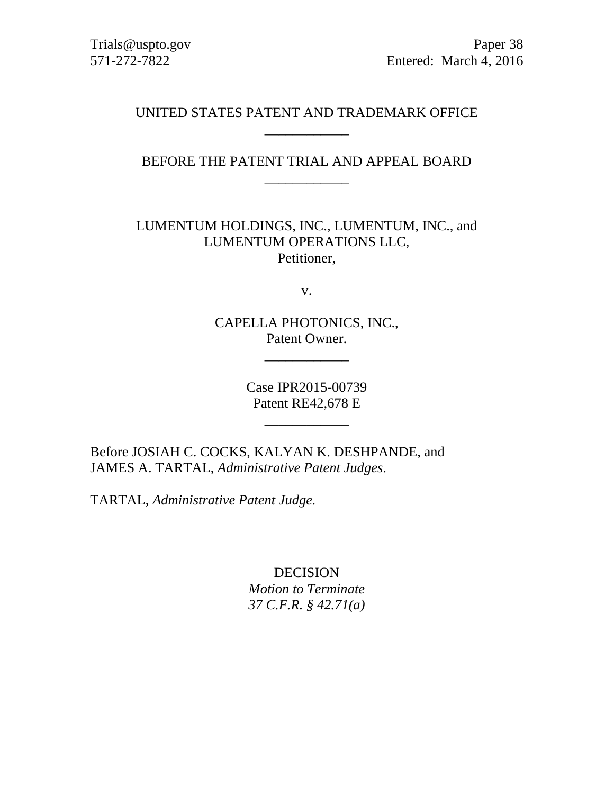Trials@uspto.gov Paper 38 571-272-7822 Entered: March 4, 2016

# UNITED STATES PATENT AND TRADEMARK OFFICE \_\_\_\_\_\_\_\_\_\_\_\_

BEFORE THE PATENT TRIAL AND APPEAL BOARD \_\_\_\_\_\_\_\_\_\_\_\_

LUMENTUM HOLDINGS, INC., LUMENTUM, INC., and LUMENTUM OPERATIONS LLC, Petitioner,

v.

CAPELLA PHOTONICS, INC., Patent Owner.

\_\_\_\_\_\_\_\_\_\_\_\_

Case IPR2015-00739 Patent RE42,678 E

\_\_\_\_\_\_\_\_\_\_\_\_

Before JOSIAH C. COCKS, KALYAN K. DESHPANDE, and JAMES A. TARTAL, *Administrative Patent Judges*.

TARTAL, *Administrative Patent Judge.*

DECISION *Motion to Terminate 37 C.F.R. § 42.71(a)*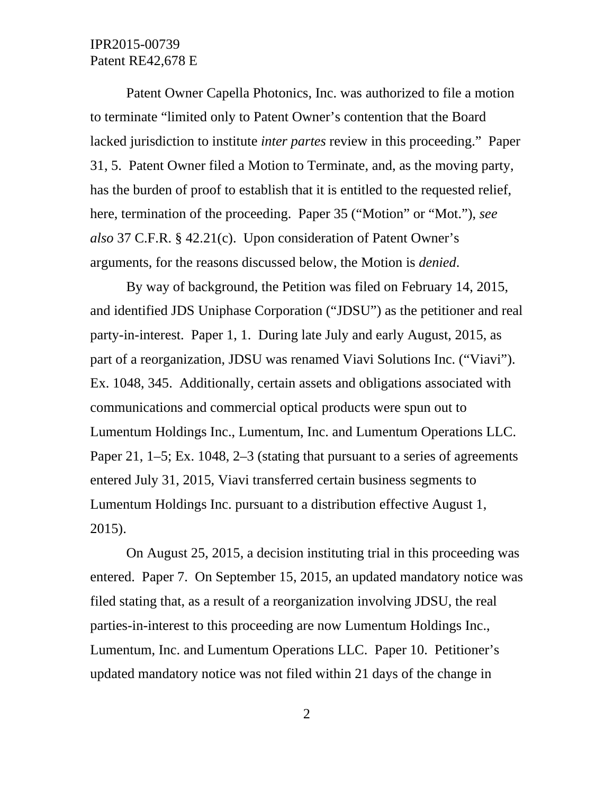Patent Owner Capella Photonics, Inc. was authorized to file a motion to terminate "limited only to Patent Owner's contention that the Board lacked jurisdiction to institute *inter partes* review in this proceeding." Paper 31, 5. Patent Owner filed a Motion to Terminate, and, as the moving party, has the burden of proof to establish that it is entitled to the requested relief, here, termination of the proceeding. Paper 35 ("Motion" or "Mot."), *see also* 37 C.F.R. § 42.21(c). Upon consideration of Patent Owner's arguments, for the reasons discussed below, the Motion is *denied*.

By way of background, the Petition was filed on February 14, 2015, and identified JDS Uniphase Corporation ("JDSU") as the petitioner and real party-in-interest. Paper 1, 1. During late July and early August, 2015, as part of a reorganization, JDSU was renamed Viavi Solutions Inc. ("Viavi"). Ex. 1048, 345. Additionally, certain assets and obligations associated with communications and commercial optical products were spun out to Lumentum Holdings Inc., Lumentum, Inc. and Lumentum Operations LLC. Paper 21, 1–5; Ex. 1048, 2–3 (stating that pursuant to a series of agreements entered July 31, 2015, Viavi transferred certain business segments to Lumentum Holdings Inc. pursuant to a distribution effective August 1, 2015).

On August 25, 2015, a decision instituting trial in this proceeding was entered. Paper 7. On September 15, 2015, an updated mandatory notice was filed stating that, as a result of a reorganization involving JDSU, the real parties-in-interest to this proceeding are now Lumentum Holdings Inc., Lumentum, Inc. and Lumentum Operations LLC. Paper 10. Petitioner's updated mandatory notice was not filed within 21 days of the change in

2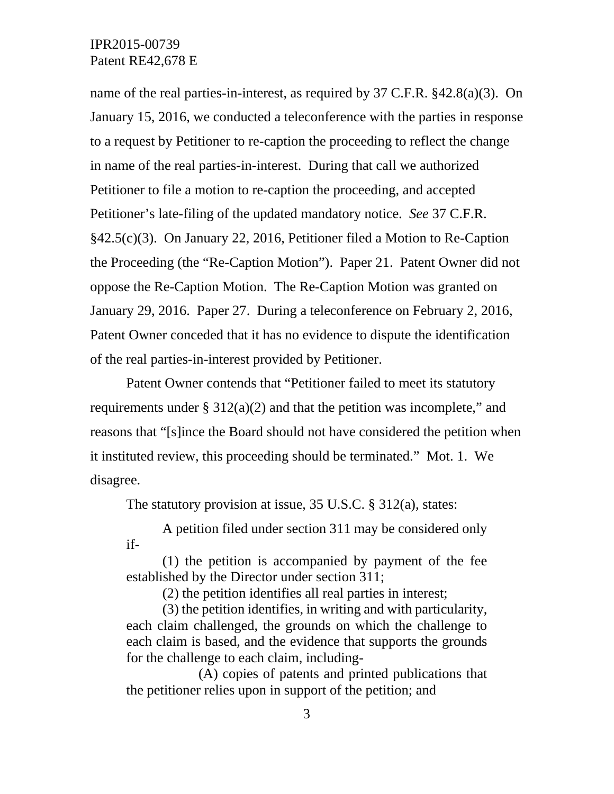name of the real parties-in-interest, as required by 37 C.F.R. §42.8(a)(3). On January 15, 2016, we conducted a teleconference with the parties in response to a request by Petitioner to re-caption the proceeding to reflect the change in name of the real parties-in-interest. During that call we authorized Petitioner to file a motion to re-caption the proceeding, and accepted Petitioner's late-filing of the updated mandatory notice. *See* 37 C.F.R. §42.5(c)(3). On January 22, 2016, Petitioner filed a Motion to Re-Caption the Proceeding (the "Re-Caption Motion"). Paper 21. Patent Owner did not oppose the Re-Caption Motion. The Re-Caption Motion was granted on January 29, 2016. Paper 27. During a teleconference on February 2, 2016, Patent Owner conceded that it has no evidence to dispute the identification of the real parties-in-interest provided by Petitioner.

Patent Owner contends that "Petitioner failed to meet its statutory requirements under  $\S 312(a)(2)$  and that the petition was incomplete," and reasons that "[s]ince the Board should not have considered the petition when it instituted review, this proceeding should be terminated." Mot. 1. We disagree.

The statutory provision at issue, 35 U.S.C. § 312(a), states:

A petition filed under section 311 may be considered only if-

(1) the petition is accompanied by payment of the fee established by the Director under section 311;

(2) the petition identifies all real parties in interest;

(3) the petition identifies, in writing and with particularity, each claim challenged, the grounds on which the challenge to each claim is based, and the evidence that supports the grounds for the challenge to each claim, including-

(A) copies of patents and printed publications that the petitioner relies upon in support of the petition; and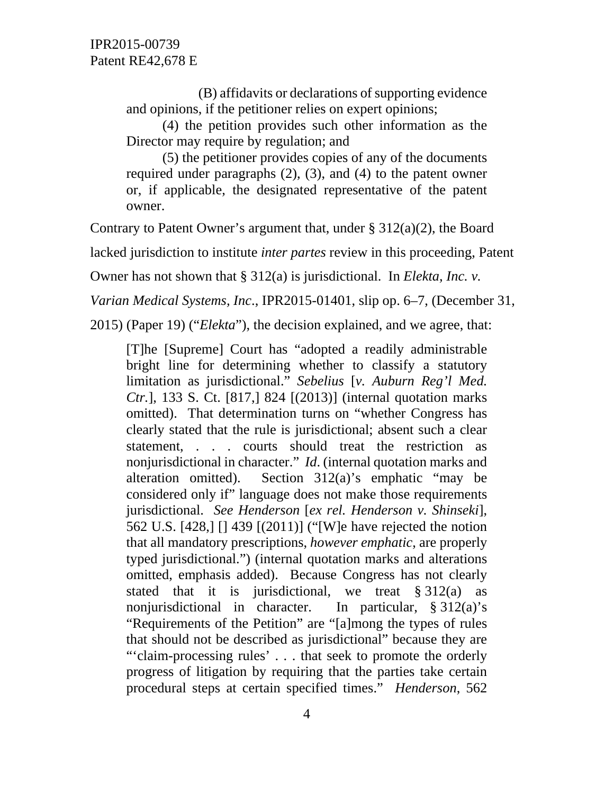(B) affidavits or declarations of supporting evidence and opinions, if the petitioner relies on expert opinions;

(4) the petition provides such other information as the Director may require by regulation; and

(5) the petitioner provides copies of any of the documents required under paragraphs (2), (3), and (4) to the patent owner or, if applicable, the designated representative of the patent owner.

Contrary to Patent Owner's argument that, under  $\S 312(a)(2)$ , the Board

lacked jurisdiction to institute *inter partes* review in this proceeding, Patent

Owner has not shown that § 312(a) is jurisdictional. In *Elekta, Inc. v.* 

*Varian Medical Systems, Inc*., IPR2015-01401, slip op. 6–7, (December 31,

2015) (Paper 19) ("*Elekta*"), the decision explained, and we agree, that:

[T]he [Supreme] Court has "adopted a readily administrable bright line for determining whether to classify a statutory limitation as jurisdictional." *Sebelius* [*v. Auburn Reg'l Med. Ctr.*], 133 S. Ct. [817,] 824 [(2013)] (internal quotation marks omitted). That determination turns on "whether Congress has clearly stated that the rule is jurisdictional; absent such a clear statement, . . . courts should treat the restriction as nonjurisdictional in character." *Id*. (internal quotation marks and alteration omitted). Section 312(a)'s emphatic "may be considered only if" language does not make those requirements jurisdictional. *See Henderson* [*ex rel. Henderson v. Shinseki*], 562 U.S. [428,] [] 439 [(2011)] ("[W]e have rejected the notion that all mandatory prescriptions, *however emphatic*, are properly typed jurisdictional.") (internal quotation marks and alterations omitted, emphasis added). Because Congress has not clearly stated that it is jurisdictional, we treat  $\S 312(a)$  as nonjurisdictional in character. In particular, § 312(a)'s "Requirements of the Petition" are "[a]mong the types of rules that should not be described as jurisdictional" because they are "'claim-processing rules' . . . that seek to promote the orderly progress of litigation by requiring that the parties take certain procedural steps at certain specified times." *Henderson*, 562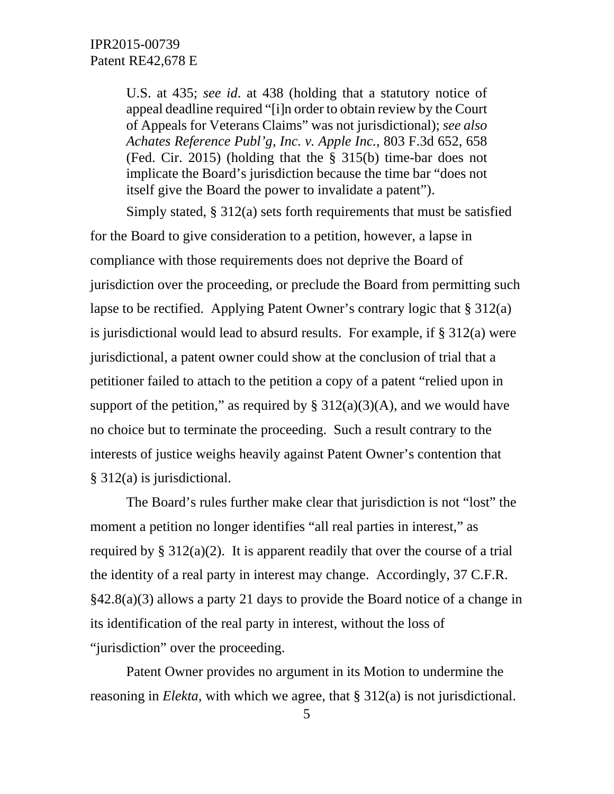U.S. at 435; *see id*. at 438 (holding that a statutory notice of appeal deadline required "[i]n order to obtain review by the Court of Appeals for Veterans Claims" was not jurisdictional); *see also Achates Reference Publ'g, Inc. v. Apple Inc.*, 803 F.3d 652, 658 (Fed. Cir. 2015) (holding that the § 315(b) time-bar does not implicate the Board's jurisdiction because the time bar "does not itself give the Board the power to invalidate a patent").

Simply stated, § 312(a) sets forth requirements that must be satisfied for the Board to give consideration to a petition, however, a lapse in compliance with those requirements does not deprive the Board of jurisdiction over the proceeding, or preclude the Board from permitting such lapse to be rectified. Applying Patent Owner's contrary logic that § 312(a) is jurisdictional would lead to absurd results. For example, if § 312(a) were jurisdictional, a patent owner could show at the conclusion of trial that a petitioner failed to attach to the petition a copy of a patent "relied upon in support of the petition," as required by  $\S 312(a)(3)(A)$ , and we would have no choice but to terminate the proceeding. Such a result contrary to the interests of justice weighs heavily against Patent Owner's contention that § 312(a) is jurisdictional.

The Board's rules further make clear that jurisdiction is not "lost" the moment a petition no longer identifies "all real parties in interest," as required by §  $312(a)(2)$ . It is apparent readily that over the course of a trial the identity of a real party in interest may change. Accordingly, 37 C.F.R. §42.8(a)(3) allows a party 21 days to provide the Board notice of a change in its identification of the real party in interest, without the loss of "jurisdiction" over the proceeding.

Patent Owner provides no argument in its Motion to undermine the reasoning in *Elekta*, with which we agree, that § 312(a) is not jurisdictional.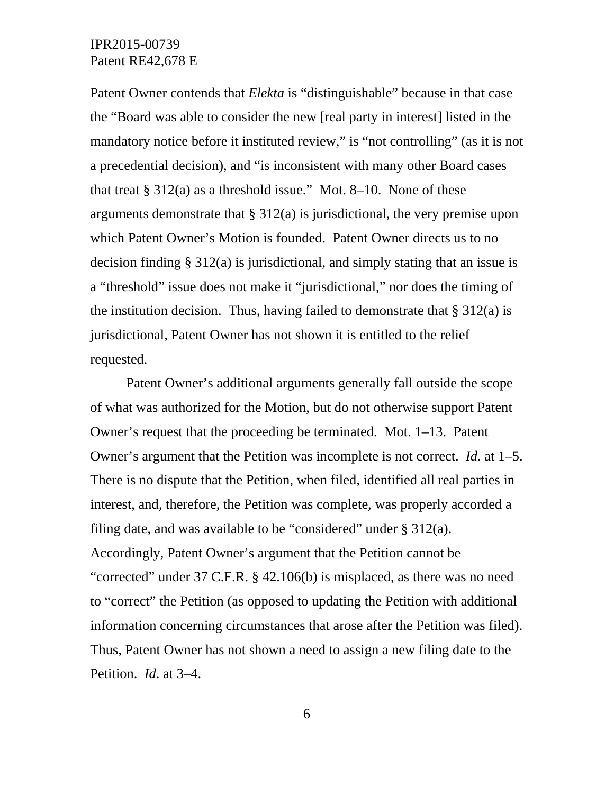Patent Owner contends that *Elekta* is "distinguishable" because in that case the "Board was able to consider the new [real party in interest] listed in the mandatory notice before it instituted review," is "not controlling" (as it is not a precedential decision), and "is inconsistent with many other Board cases that treat  $\S 312(a)$  as a threshold issue." Mot. 8–10. None of these arguments demonstrate that § 312(a) is jurisdictional, the very premise upon which Patent Owner's Motion is founded. Patent Owner directs us to no decision finding § 312(a) is jurisdictional, and simply stating that an issue is a "threshold" issue does not make it "jurisdictional," nor does the timing of the institution decision. Thus, having failed to demonstrate that  $\S 312(a)$  is jurisdictional, Patent Owner has not shown it is entitled to the relief requested.

Patent Owner's additional arguments generally fall outside the scope of what was authorized for the Motion, but do not otherwise support Patent Owner's request that the proceeding be terminated. Mot. 1–13. Patent Owner's argument that the Petition was incomplete is not correct. *Id*. at 1–5. There is no dispute that the Petition, when filed, identified all real parties in interest, and, therefore, the Petition was complete, was properly accorded a filing date, and was available to be "considered" under  $\S 312(a)$ . Accordingly, Patent Owner's argument that the Petition cannot be "corrected" under 37 C.F.R. § 42.106(b) is misplaced, as there was no need to "correct" the Petition (as opposed to updating the Petition with additional information concerning circumstances that arose after the Petition was filed). Thus, Patent Owner has not shown a need to assign a new filing date to the Petition. *Id*. at 3–4.

6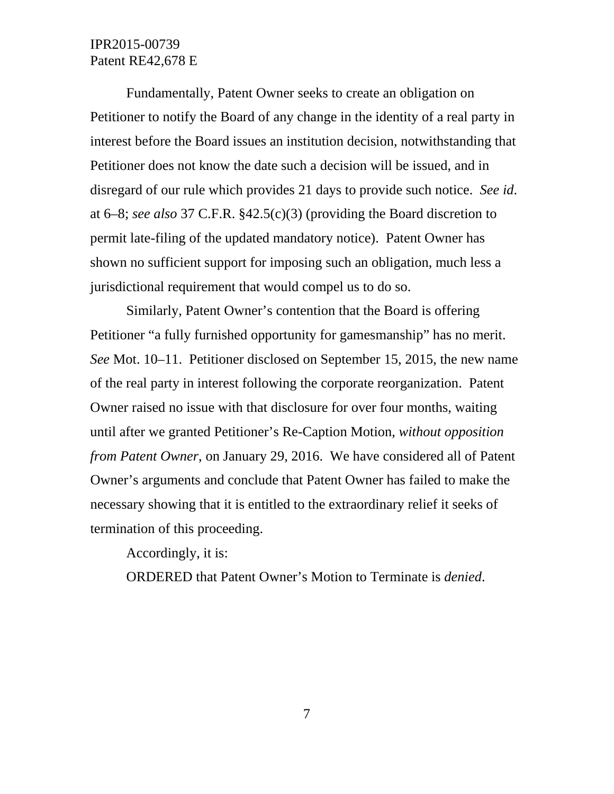Fundamentally, Patent Owner seeks to create an obligation on Petitioner to notify the Board of any change in the identity of a real party in interest before the Board issues an institution decision, notwithstanding that Petitioner does not know the date such a decision will be issued, and in disregard of our rule which provides 21 days to provide such notice. *See id*. at 6–8; *see also* 37 C.F.R. §42.5(c)(3) (providing the Board discretion to permit late-filing of the updated mandatory notice). Patent Owner has shown no sufficient support for imposing such an obligation, much less a jurisdictional requirement that would compel us to do so.

Similarly, Patent Owner's contention that the Board is offering Petitioner "a fully furnished opportunity for gamesmanship" has no merit. *See* Mot. 10–11. Petitioner disclosed on September 15, 2015, the new name of the real party in interest following the corporate reorganization. Patent Owner raised no issue with that disclosure for over four months, waiting until after we granted Petitioner's Re-Caption Motion, *without opposition from Patent Owner*, on January 29, 2016. We have considered all of Patent Owner's arguments and conclude that Patent Owner has failed to make the necessary showing that it is entitled to the extraordinary relief it seeks of termination of this proceeding.

Accordingly, it is:

ORDERED that Patent Owner's Motion to Terminate is *denied*.